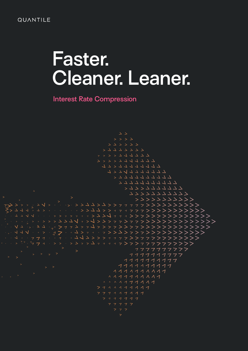#### **QUANTILE**

# **Faster. Cleaner. Leaner.**

**Interest Rate Compression**

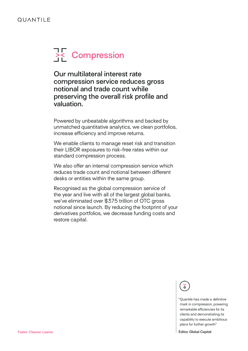## **PRE** Compression

**Our multilateral interest rate compression service reduces gross notional and trade count while preserving the overall risk profile and valuation.** 

Powered by unbeatable algorithms and backed by unmatched quantitative analytics, we clean portfolios, increase efficiency and improve returns.

We enable clients to manage reset risk and transition their LIBOR exposures to risk-free rates within our standard compression process.

We also offer an internal compression service which reduces trade count and notional between different desks or entities within the same group.

Recognised as the global compression service of the year and live with all of the largest global banks, we've eliminated over \$375 trillion of OTC gross notional since launch. By reducing the footprint of your derivatives portfolios, we decrease funding costs and restore capital.

<u>s</u>

"Quantile has made a definitive mark in compression, powering remarkable efficiencies for its clients and demonstrating its capability to execute ambitious plans for further growth"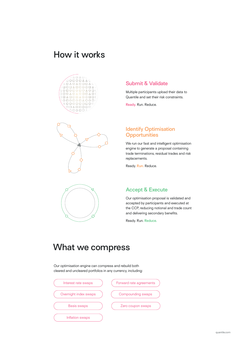## **How it works**





#### **Submit & Validate**

Multiple participants upload their data to Quantile and set their risk constraints.

**Ready.** Run. Reduce.

#### **Identify Optimisation Opportunities**

We run our fast and intelligent optimisation engine to generate a proposal containing trade terminations, residual trades and risk replacements.

Ready. **Run.** Reduce.

#### **Accept & Execute**

Our optimisation proposal is validated and accepted by participants and executed at the CCP, reducing notional and trade count and delivering secondary benefits.

Ready. Run. **Reduce.**

## **What we compress**

Our optimisation engine can compress and rebuild both cleared and uncleared portfolios in any currency, including:

| Interest rate swaps    | Forward rate agreements  |
|------------------------|--------------------------|
| Overnight index swaps  | <b>Compounding swaps</b> |
| <b>Basis swaps</b>     | Zero coupon swaps        |
| <b>Inflation swaps</b> |                          |